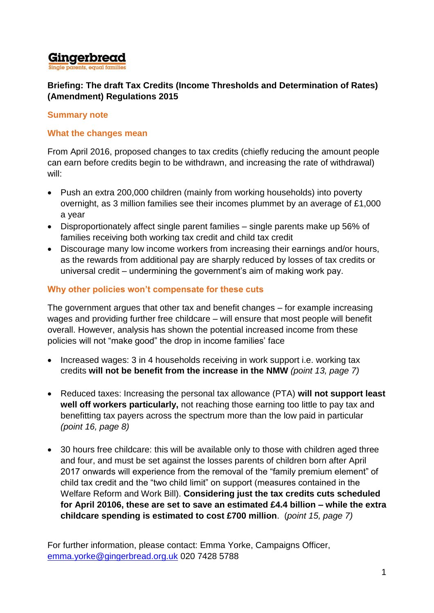

### **Briefing: The draft Tax Credits (Income Thresholds and Determination of Rates) (Amendment) Regulations 2015**

#### **Summary note**

### **What the changes mean**

From April 2016, proposed changes to tax credits (chiefly reducing the amount people can earn before credits begin to be withdrawn, and increasing the rate of withdrawal) will:

- Push an extra 200,000 children (mainly from working households) into poverty overnight, as 3 million families see their incomes plummet by an average of £1,000 a year
- Disproportionately affect single parent families single parents make up 56% of families receiving both working tax credit and child tax credit
- Discourage many low income workers from increasing their earnings and/or hours, as the rewards from additional pay are sharply reduced by losses of tax credits or universal credit – undermining the government's aim of making work pay.

## **Why other policies won't compensate for these cuts**

The government argues that other tax and benefit changes – for example increasing wages and providing further free childcare – will ensure that most people will benefit overall. However, analysis has shown the potential increased income from these policies will not "make good" the drop in income families' face

- Increased wages: 3 in 4 households receiving in work support i.e. working tax credits **will not be benefit from the increase in the NMW** *(point 13, page 7)*
- Reduced taxes: Increasing the personal tax allowance (PTA) **will not support least well off workers particularly,** not reaching those earning too little to pay tax and benefitting tax payers across the spectrum more than the low paid in particular *(point 16, page 8)*
- 30 hours free childcare: this will be available only to those with children aged three and four, and must be set against the losses parents of children born after April 2017 onwards will experience from the removal of the "family premium element" of child tax credit and the "two child limit" on support (measures contained in the Welfare Reform and Work Bill). **Considering just the tax credits cuts scheduled for April 20106, these are set to save an estimated £4.4 billion – while the extra childcare spending is estimated to cost £700 million**. (*point 15, page 7)*

For further information, please contact: Emma Yorke, Campaigns Officer, [emma.yorke@gingerbread.org.uk](mailto:emma.yorke@gingerbread.org.uk) 020 7428 5788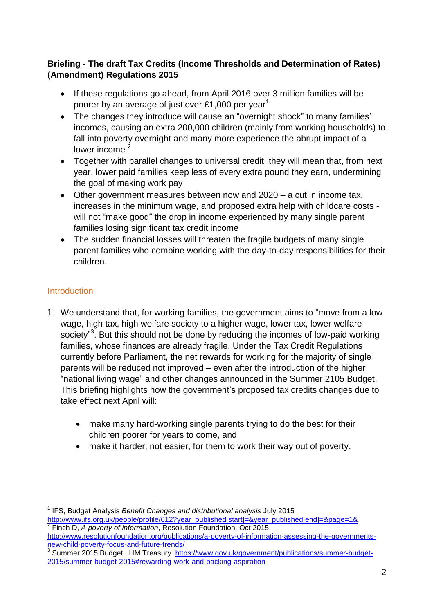## **Briefing - The draft Tax Credits (Income Thresholds and Determination of Rates) (Amendment) Regulations 2015**

- If these regulations go ahead, from April 2016 over 3 million families will be poorer by an average of just over £1,000 per year<sup>1</sup>
- The changes they introduce will cause an "overnight shock" to many families' incomes, causing an extra 200,000 children (mainly from working households) to fall into poverty overnight and many more experience the abrupt impact of a lower income  $2$
- Together with parallel changes to universal credit, they will mean that, from next year, lower paid families keep less of every extra pound they earn, undermining the goal of making work pay
- $\bullet$  Other government measures between now and 2020 a cut in income tax, increases in the minimum wage, and proposed extra help with childcare costs will not "make good" the drop in income experienced by many single parent families losing significant tax credit income
- The sudden financial losses will threaten the fragile budgets of many single parent families who combine working with the day-to-day responsibilities for their children.

# **Introduction**

- 1. We understand that, for working families, the government aims to "move from a low wage, high tax, high welfare society to a higher wage, lower tax, lower welfare society"<sup>3</sup>. But this should not be done by reducing the incomes of low-paid working families, whose finances are already fragile. Under the Tax Credit Regulations currently before Parliament, the net rewards for working for the majority of single parents will be reduced not improved – even after the introduction of the higher "national living wage" and other changes announced in the Summer 2105 Budget. This briefing highlights how the government's proposed tax credits changes due to take effect next April will:
	- make many hard-working single parents trying to do the best for their children poorer for years to come, and
	- make it harder, not easier, for them to work their way out of poverty.

l 1 IFS, Budget Analysis *Benefit Changes and distributional analysis* July 2015 [http://www.ifs.org.uk/people/profile/612?year\\_published\[start\]=&year\\_published\[end\]=&page=1&](http://www.ifs.org.uk/people/profile/612?year_published%5bstart%5d=&year_published%5bend%5d=&page=1&) <br>2 Fineb D. A noverty of information Besolution Foundation Oct 2015

Finch D, *A poverty of information*, Resolution Foundation, Oct 2015 [http://www.resolutionfoundation.org/publications/a-poverty-of-information-assessing-the-governments](http://www.resolutionfoundation.org/publications/a-poverty-of-information-assessing-the-governments-new-child-poverty-focus-and-future-trends/)[new-child-poverty-focus-and-future-trends/](http://www.resolutionfoundation.org/publications/a-poverty-of-information-assessing-the-governments-new-child-poverty-focus-and-future-trends/)<br>3 Summer 2015 Budget - HM Treesury, http

Summer 2015 Budget, HM Treasury [https://www.gov.uk/government/publications/summer-budget-](https://www.gov.uk/government/publications/summer-budget-2015/summer-budget-2015#rewarding-work-and-backing-aspiration)[2015/summer-budget-2015#rewarding-work-and-backing-aspiration](https://www.gov.uk/government/publications/summer-budget-2015/summer-budget-2015#rewarding-work-and-backing-aspiration)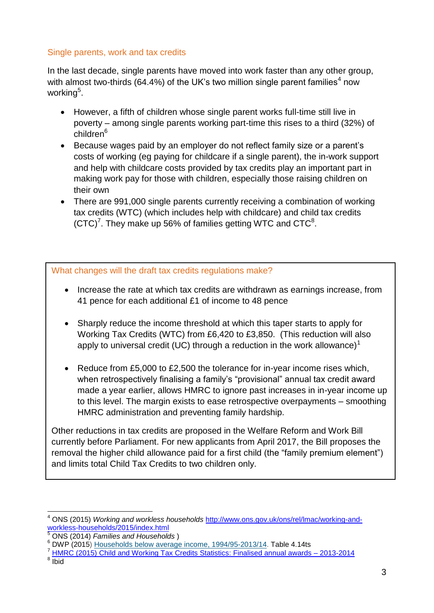#### Single parents, work and tax credits

In the last decade, single parents have moved into work faster than any other group, with almost two-thirds (64.4%) of the UK's two million single parent families<sup>4</sup> now working<sup>5</sup>.

- However, a fifth of children whose single parent works full-time still live in poverty – among single parents working part-time this rises to a third (32%) of children<sup>6</sup>
- Because wages paid by an employer do not reflect family size or a parent's costs of working (eg paying for childcare if a single parent), the in-work support and help with childcare costs provided by tax credits play an important part in making work pay for those with children, especially those raising children on their own
- There are 991,000 single parents currently receiving a combination of working tax credits (WTC) (which includes help with childcare) and child tax credits  $(CTC)^7$ . They make up 56% of families getting WTC and CTC $^8$ .

What changes will the draft tax credits regulations make?

- Increase the rate at which tax credits are withdrawn as earnings increase, from 41 pence for each additional £1 of income to 48 pence
- Sharply reduce the income threshold at which this taper starts to apply for Working Tax Credits (WTC) from £6,420 to £3,850. (This reduction will also apply to universal credit (UC) through a reduction in the work allowance)<sup>1</sup>
- Reduce from £5,000 to £2,500 the tolerance for in-year income rises which, when retrospectively finalising a family's "provisional" annual tax credit award made a year earlier, allows HMRC to ignore past increases in in-year income up to this level. The margin exists to ease retrospective overpayments – smoothing HMRC administration and preventing family hardship.

Other reductions in tax credits are proposed in the Welfare Reform and Work Bill currently before Parliament. For new applicants from April 2017, the Bill proposes the removal the higher child allowance paid for a first child (the "family premium element") and limits total Child Tax Credits to two children only.

 $\overline{\phantom{a}}$ 

<sup>4</sup> ONS (2015) *Working and workless households* [http://www.ons.gov.uk/ons/rel/lmac/working-and](http://www.ons.gov.uk/ons/rel/lmac/working-and-workless-households/2015/index.html)[workless-households/2015/index.html](http://www.ons.gov.uk/ons/rel/lmac/working-and-workless-households/2015/index.html)<br>
5 OND (2011) =

<sup>5</sup> ONS (2014) *Families and Households* )

 $6$  DWP (2015) Households below average income,  $1994/95-2013/14$ . Table 4.14ts

<sup>7</sup> [HMRC \(2015\) Child and Working Tax Credits Statistics: Finalised annual awards –](https://www.gov.uk/government/uploads/system/uploads/attachment_data/file/430534/cwtc_Finalised_annual_awards_2013-14.pdf) 2013-2014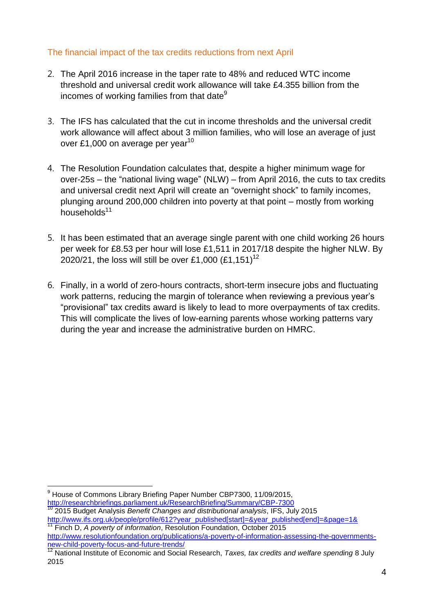#### The financial impact of the tax credits reductions from next April

- 2. The April 2016 increase in the taper rate to 48% and reduced WTC income threshold and universal credit work allowance will take £4.355 billion from the incomes of working families from that date $9$
- 3. The IFS has calculated that the cut in income thresholds and the universal credit work allowance will affect about 3 million families, who will lose an average of just over £1,000 on average per year<sup>10</sup>
- 4. The Resolution Foundation calculates that, despite a higher minimum wage for over-25s – the "national living wage" (NLW) – from April 2016, the cuts to tax credits and universal credit next April will create an "overnight shock" to family incomes, plunging around 200,000 children into poverty at that point – mostly from working households $11$
- 5. It has been estimated that an average single parent with one child working 26 hours per week for £8.53 per hour will lose £1,511 in 2017/18 despite the higher NLW. By 2020/21, the loss will still be over £1,000 (£1,151)<sup>12</sup>
- 6. Finally, in a world of zero-hours contracts, short-term insecure jobs and fluctuating work patterns, reducing the margin of tolerance when reviewing a previous year's "provisional" tax credits award is likely to lead to more overpayments of tax credits. This will complicate the lives of low-earning parents whose working patterns vary during the year and increase the administrative burden on HMRC.

l  $9$  House of Commons Library Briefing Paper Number CBP7300, 11/09/2015, <http://researchbriefings.parliament.uk/ResearchBriefing/Summary/CBP-7300> <sup>10</sup> 2015 Budget Analysis *Benefit Changes and distributional analysis*, IFS, July 2015

[http://www.ifs.org.uk/people/profile/612?year\\_published\[start\]=&year\\_published\[end\]=&page=1&](http://www.ifs.org.uk/people/profile/612?year_published%5bstart%5d=&year_published%5bend%5d=&page=1&)<br>11 Finals D. 4 Finals D. 4 <sup>11</sup> Finch D, *A poverty of information*, Resolution Foundation, October 2015

[http://www.resolutionfoundation.org/publications/a-poverty-of-information-assessing-the-governments](http://www.resolutionfoundation.org/publications/a-poverty-of-information-assessing-the-governments-new-child-poverty-focus-and-future-trends/)[new-child-poverty-focus-and-future-trends/](http://www.resolutionfoundation.org/publications/a-poverty-of-information-assessing-the-governments-new-child-poverty-focus-and-future-trends/)<br>
<sup>12</sup> National lastic  $\overline{ }$ 

<sup>12</sup> National Institute of Economic and Social Research, *Taxes, tax credits and welfare spending* 8 July 2015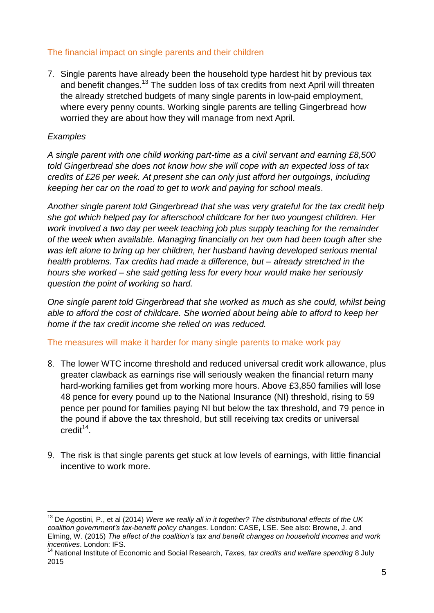#### The financial impact on single parents and their children

7. Single parents have already been the household type hardest hit by previous tax and benefit changes.<sup>13</sup> The sudden loss of tax credits from next April will threaten the already stretched budgets of many single parents in low-paid employment, where every penny counts. Working single parents are telling Gingerbread how worried they are about how they will manage from next April.

#### *Examples*

*A single parent with one child working part-time as a civil servant and earning £8,500 told Gingerbread she does not know how she will cope with an expected loss of tax credits of £26 per week. At present she can only just afford her outgoings, including keeping her car on the road to get to work and paying for school meals*.

*Another single parent told Gingerbread that she was very grateful for the tax credit help she got which helped pay for afterschool childcare for her two youngest children. Her work involved a two day per week teaching job plus supply teaching for the remainder of the week when available. Managing financially on her own had been tough after she was left alone to bring up her children, her husband having developed serious mental health problems. Tax credits had made a difference, but – already stretched in the hours she worked – she said getting less for every hour would make her seriously question the point of working so hard.*

*One single parent told Gingerbread that she worked as much as she could, whilst being able to afford the cost of childcare. She worried about being able to afford to keep her home if the tax credit income she relied on was reduced.*

The measures will make it harder for many single parents to make work pay

- 8. The lower WTC income threshold and reduced universal credit work allowance, plus greater clawback as earnings rise will seriously weaken the financial return many hard-working families get from working more hours. Above £3,850 families will lose 48 pence for every pound up to the National Insurance (NI) threshold, rising to 59 pence per pound for families paying NI but below the tax threshold, and 79 pence in the pound if above the tax threshold, but still receiving tax credits or universal  $\text{credit}^{\text{14}}$ .
- 9. The risk is that single parents get stuck at low levels of earnings, with little financial incentive to work more.

 $\overline{a}$ <sup>13</sup> De Agostini, P., et al (2014) *Were we really all in it together? The distributional effects of the UK coalition government's tax-benefit policy changes*. London: CASE, LSE. See also: Browne, J. and Elming, W. (2015) *The effect of the coalition's tax and benefit changes on household incomes and work incentives*. London: IFS.

<sup>14</sup> National Institute of Economic and Social Research, *Taxes, tax credits and welfare spending* 8 July 2015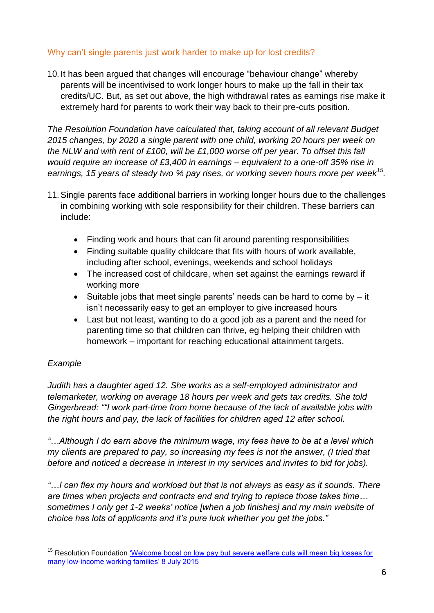## Why can't single parents just work harder to make up for lost credits?

10. It has been argued that changes will encourage "behaviour change" whereby parents will be incentivised to work longer hours to make up the fall in their tax credits/UC. But, as set out above, the high withdrawal rates as earnings rise make it extremely hard for parents to work their way back to their pre-cuts position.

*The Resolution Foundation have calculated that, taking account of all relevant Budget 2015 changes, by 2020 a single parent with one child, working 20 hours per week on the NLW and with rent of £100, will be £1,000 worse off per year. To offset this fall would require an increase of £3,400 in earnings – equivalent to a one-off 35% rise in earnings, 15 years of steady two % pay rises, or working seven hours more per week<sup>15</sup> .* 

- 11. Single parents face additional barriers in working longer hours due to the challenges in combining working with sole responsibility for their children. These barriers can include:
	- Finding work and hours that can fit around parenting responsibilities
	- Finding suitable quality childcare that fits with hours of work available, including after school, evenings, weekends and school holidays
	- The increased cost of childcare, when set against the earnings reward if working more
	- $\bullet$  Suitable jobs that meet single parents' needs can be hard to come by  $-$  it isn't necessarily easy to get an employer to give increased hours
	- Last but not least, wanting to do a good job as a parent and the need for parenting time so that children can thrive, eg helping their children with homework – important for reaching educational attainment targets.

# *Example*

l

*Judith has a daughter aged 12. She works as a self-employed administrator and telemarketer, working on average 18 hours per week and gets tax credits. She told Gingerbread: ""I work part-time from home because of the lack of available jobs with the right hours and pay, the lack of facilities for children aged 12 after school.*

*"…Although I do earn above the minimum wage, my fees have to be at a level which my clients are prepared to pay, so increasing my fees is not the answer, (I tried that before and noticed a decrease in interest in my services and invites to bid for jobs).*

*"…I can flex my hours and workload but that is not always as easy as it sounds. There are times when projects and contracts end and trying to replace those takes time… sometimes I only get 1-2 weeks' notice [when a job finishes] and my main website of choice has lots of applicants and it's pure luck whether you get the jobs."* 

<sup>&</sup>lt;sup>15</sup> Resolution Foundation *'Welcome boost on low pay but severe welfare cuts will mean big losses for* [many low-income working families' 8 July 2015](http://www.resolutionfoundation.org/media/press-releases/welcome-boost-on-low-pay-but-severe-welfare-cuts-will-mean-big-losses-for-many-low-income-working-families/)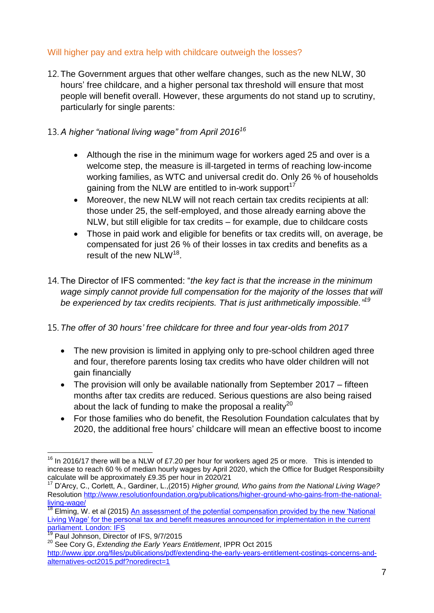## Will higher pay and extra help with childcare outweigh the losses?

12. The Government argues that other welfare changes, such as the new NLW, 30 hours' free childcare, and a higher personal tax threshold will ensure that most people will benefit overall. However, these arguments do not stand up to scrutiny, particularly for single parents:

## 13. *A higher "national living wage" from April 2016<sup>16</sup>*

- Although the rise in the minimum wage for workers aged 25 and over is a welcome step, the measure is ill-targeted in terms of reaching low-income working families, as WTC and universal credit do. Only 26 % of households gaining from the NLW are entitled to in-work support<sup>17</sup>
- Moreover, the new NLW will not reach certain tax credits recipients at all: those under 25, the self-employed, and those already earning above the NLW, but still eligible for tax credits – for example, due to childcare costs
- Those in paid work and eligible for benefits or tax credits will, on average, be compensated for just 26 % of their losses in tax credits and benefits as a result of the new NLW<sup>18</sup>.
- 14. The Director of IFS commented: "*the key fact is that the increase in the minimum*  wage simply cannot provide full compensation for the majority of the losses that will *be experienced by tax credits recipients. That is just arithmetically impossible." 19*

# 15. *The offer of 30 hours' free childcare for three and four year-olds from 2017*

- The new provision is limited in applying only to pre-school children aged three and four, therefore parents losing tax credits who have older children will not gain financially
- The provision will only be available nationally from September 2017 fifteen months after tax credits are reduced. Serious questions are also being raised about the lack of funding to make the proposal a reality<sup>20</sup>
- For those families who do benefit, the Resolution Foundation calculates that by 2020, the additional free hours' childcare will mean an effective boost to income

l

 $16$  In 2016/17 there will be a NLW of £7.20 per hour for workers aged 25 or more. This is intended to increase to reach 60 % of median hourly wages by April 2020, which the Office for Budget Responsibiilty calculate will be approximately £9.35 per hour in 2020/21

<sup>17</sup> D'Arcy, C., Corlett, A., Gardiner, L.,(2015) *Higher ground, Who gains from the National Living Wage?*  Resolution [http://www.resolutionfoundation.org/publications/higher-ground-who-gains-from-the-national](http://www.resolutionfoundation.org/publications/higher-ground-who-gains-from-the-national-living-wage/)[living-wage/](http://www.resolutionfoundation.org/publications/higher-ground-who-gains-from-the-national-living-wage/)

Elming, W. et al (2015) An assessment of the potential compensation provided by the new 'National [Living Wage' for the personal tax and benefit measures announced for implementation in the current](http://www.ifs.org.uk/uploads/publications/bns/BN175.pdf)  [parliament. London: IFS](http://www.ifs.org.uk/uploads/publications/bns/BN175.pdf)

Paul Johnson, Director of IFS, 9/7/2015

<sup>20</sup> See Cory G, *Extending the Early Years Entitlement*, IPPR Oct 2015

[http://www.ippr.org/files/publications/pdf/extending-the-early-years-entitlement-costings-concerns-and](http://www.ippr.org/files/publications/pdf/extending-the-early-years-entitlement-costings-concerns-and-alternatives-oct2015.pdf?noredirect=1)[alternatives-oct2015.pdf?noredirect=1](http://www.ippr.org/files/publications/pdf/extending-the-early-years-entitlement-costings-concerns-and-alternatives-oct2015.pdf?noredirect=1)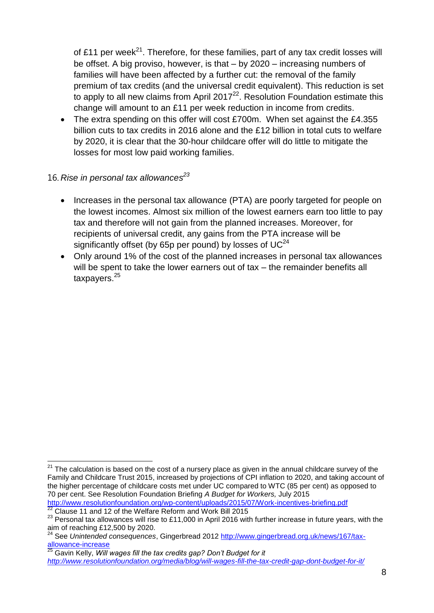of £11 per week<sup>21</sup>. Therefore, for these families, part of any tax credit losses will be offset. A big proviso, however, is that – by 2020 – increasing numbers of families will have been affected by a further cut: the removal of the family premium of tax credits (and the universal credit equivalent). This reduction is set to apply to all new claims from April 2017<sup>22</sup>. Resolution Foundation estimate this change will amount to an £11 per week reduction in income from credits.

- The extra spending on this offer will cost £700m. When set against the £4.355 billion cuts to tax credits in 2016 alone and the £12 billion in total cuts to welfare by 2020, it is clear that the 30-hour childcare offer will do little to mitigate the losses for most low paid working families.
- 16. *Rise in personal tax allowances 23*

l

- Increases in the personal tax allowance (PTA) are poorly targeted for people on the lowest incomes. Almost six million of the lowest earners earn too little to pay tax and therefore will not gain from the planned increases. Moreover, for recipients of universal credit, any gains from the PTA increase will be significantly offset (by 65p per pound) by losses of  $UC^{24}$
- Only around 1% of the cost of the planned increases in personal tax allowances will be spent to take the lower earners out of tax – the remainder benefits all taxpayers.<sup>25</sup>

 $21$  The calculation is based on the cost of a nursery place as given in the annual childcare survey of the Family and Childcare Trust 2015, increased by projections of CPI inflation to 2020, and taking account of the higher percentage of childcare costs met under UC compared to WTC (85 per cent) as opposed to 70 per cent. See Resolution Foundation Briefing *A Budget for Workers,* July 2015 <http://www.resolutionfoundation.org/wp-content/uploads/2015/07/Work-incentives-briefing.pdf>  $22$  Clause 11 and 12 of the Welfare Reform and Work Bill 2015

<sup>23</sup> Personal tax allowances will rise to £11,000 in April 2016 with further increase in future years, with the aim of reaching £12,500 by 2020.

<sup>24</sup> See *Unintended consequences*, Gingerbread 2012 [http://www.gingerbread.org.uk/news/167/tax](http://www.gingerbread.org.uk/news/167/tax-allowance-increase)[allowance-increase](http://www.gingerbread.org.uk/news/167/tax-allowance-increase)

<sup>25</sup> Gavin Kelly, *Will wages fill the tax credits gap? Don't Budget for it <http://www.resolutionfoundation.org/media/blog/will-wages-fill-the-tax-credit-gap-dont-budget-for-it/>*